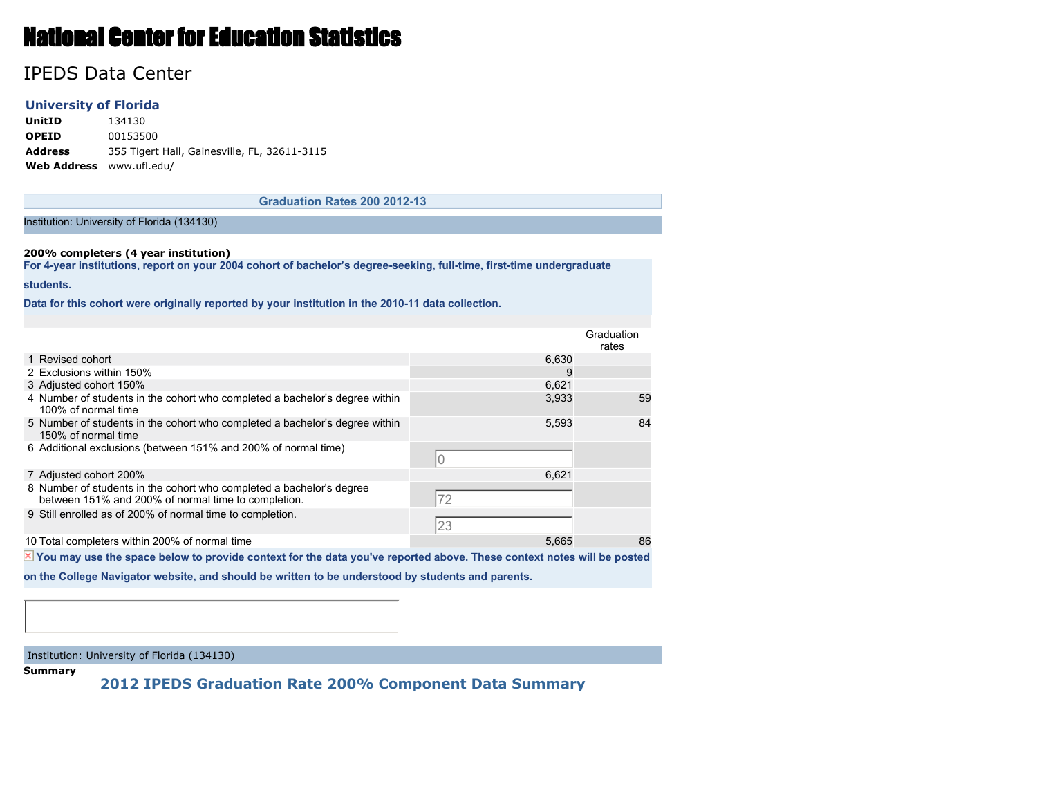# National Center for Education Statistics

## IPEDS Data Center

### **University of Florida**

**UnitID** 134130 **OPEID** 00153500 **Address** 355 Tigert Hall, Gainesville, FL, 32611-3115 **Web Address** www.ufl.edu/

**Graduation Rates 200 2012-13**

#### Institution: University of Florida (134130)

#### **200% completers (4 year institution)**

**For 4-year institutions, report on your 2004 cohort of bachelor's degree-seeking, full-time, first-time undergraduate**

#### **students.**

**Data for this cohort were originally reported by your institution in the 2010-11 data collection.**

| Graduation<br>rates<br>1 Revised cohort<br>6.630<br>2 Exclusions within 150%<br>9<br>3 Adjusted cohort 150%<br>6.621<br>4 Number of students in the cohort who completed a bachelor's degree within<br>3,933<br>100% of normal time<br>5 Number of students in the cohort who completed a bachelor's degree within<br>5.593<br>150% of normal time<br>6 Additional exclusions (between 151% and 200% of normal time)<br>7 Adjusted cohort 200%<br>6,621<br>8 Number of students in the cohort who completed a bachelor's degree<br>72<br>between 151% and 200% of normal time to completion.<br>9 Still enrolled as of 200% of normal time to completion.<br>23<br>86<br>10 Total completers within 200% of normal time<br>5.665 |  |    |
|----------------------------------------------------------------------------------------------------------------------------------------------------------------------------------------------------------------------------------------------------------------------------------------------------------------------------------------------------------------------------------------------------------------------------------------------------------------------------------------------------------------------------------------------------------------------------------------------------------------------------------------------------------------------------------------------------------------------------------|--|----|
|                                                                                                                                                                                                                                                                                                                                                                                                                                                                                                                                                                                                                                                                                                                                  |  |    |
|                                                                                                                                                                                                                                                                                                                                                                                                                                                                                                                                                                                                                                                                                                                                  |  |    |
|                                                                                                                                                                                                                                                                                                                                                                                                                                                                                                                                                                                                                                                                                                                                  |  |    |
|                                                                                                                                                                                                                                                                                                                                                                                                                                                                                                                                                                                                                                                                                                                                  |  |    |
|                                                                                                                                                                                                                                                                                                                                                                                                                                                                                                                                                                                                                                                                                                                                  |  | 59 |
|                                                                                                                                                                                                                                                                                                                                                                                                                                                                                                                                                                                                                                                                                                                                  |  | 84 |
|                                                                                                                                                                                                                                                                                                                                                                                                                                                                                                                                                                                                                                                                                                                                  |  |    |
|                                                                                                                                                                                                                                                                                                                                                                                                                                                                                                                                                                                                                                                                                                                                  |  |    |
|                                                                                                                                                                                                                                                                                                                                                                                                                                                                                                                                                                                                                                                                                                                                  |  |    |
|                                                                                                                                                                                                                                                                                                                                                                                                                                                                                                                                                                                                                                                                                                                                  |  |    |
|                                                                                                                                                                                                                                                                                                                                                                                                                                                                                                                                                                                                                                                                                                                                  |  |    |

 $\overline{X}$  You may use the space below to provide context for the data you've reported above. These context notes will be posted

**on the College Navigator website, and should be written to be understood by students and parents.**

Institution: University of Florida (134130)

**Summary**

**2012 IPEDS Graduation Rate 200% Component Data Summary**